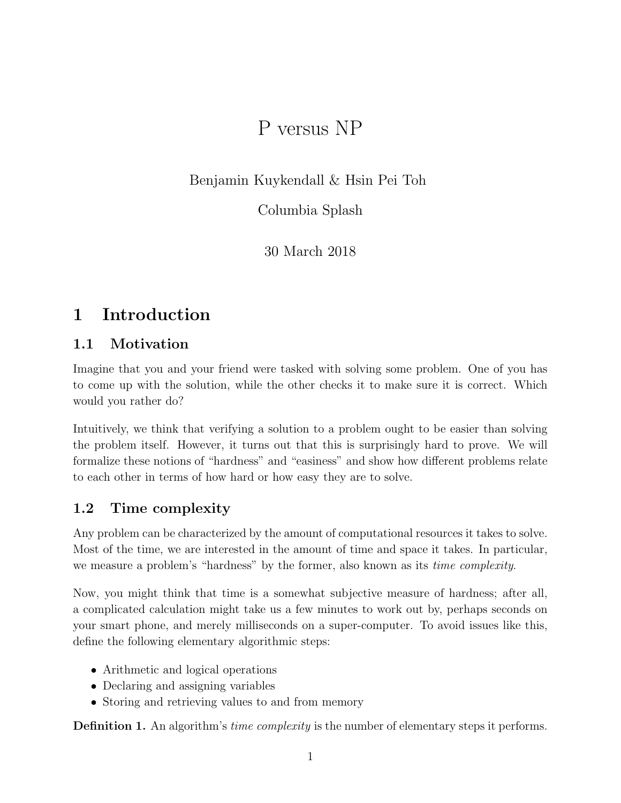# P versus NP

Benjamin Kuykendall & Hsin Pei Toh

Columbia Splash

30 March 2018

# 1 Introduction

## 1.1 Motivation

Imagine that you and your friend were tasked with solving some problem. One of you has to come up with the solution, while the other checks it to make sure it is correct. Which would you rather do?

Intuitively, we think that verifying a solution to a problem ought to be easier than solving the problem itself. However, it turns out that this is surprisingly hard to prove. We will formalize these notions of "hardness" and "easiness" and show how different problems relate to each other in terms of how hard or how easy they are to solve.

## 1.2 Time complexity

Any problem can be characterized by the amount of computational resources it takes to solve. Most of the time, we are interested in the amount of time and space it takes. In particular, we measure a problem's "hardness" by the former, also known as its *time complexity*.

Now, you might think that time is a somewhat subjective measure of hardness; after all, a complicated calculation might take us a few minutes to work out by, perhaps seconds on your smart phone, and merely milliseconds on a super-computer. To avoid issues like this, define the following elementary algorithmic steps:

- Arithmetic and logical operations
- Declaring and assigning variables
- Storing and retrieving values to and from memory

**Definition 1.** An algorithm's *time complexity* is the number of elementary steps it performs.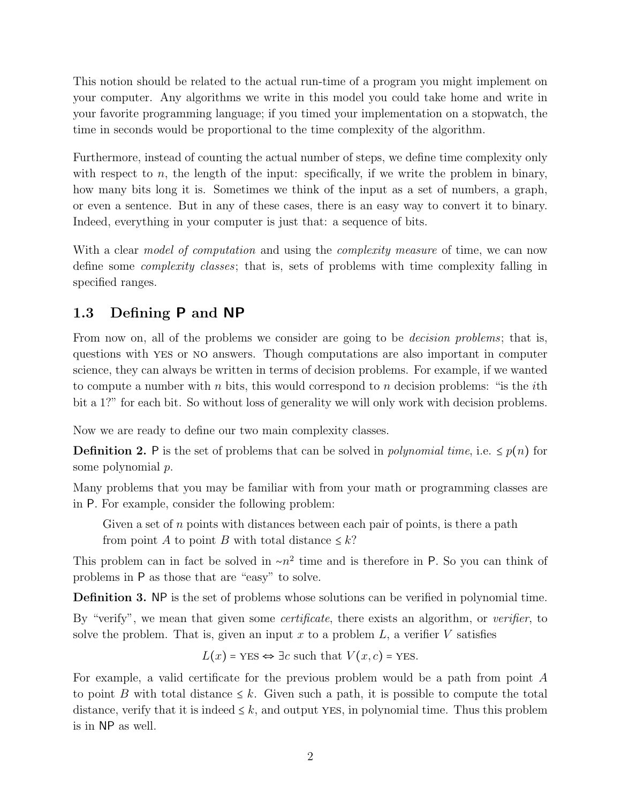This notion should be related to the actual run-time of a program you might implement on your computer. Any algorithms we write in this model you could take home and write in your favorite programming language; if you timed your implementation on a stopwatch, the time in seconds would be proportional to the time complexity of the algorithm.

Furthermore, instead of counting the actual number of steps, we define time complexity only with respect to n, the length of the input: specifically, if we write the problem in binary, how many bits long it is. Sometimes we think of the input as a set of numbers, a graph, or even a sentence. But in any of these cases, there is an easy way to convert it to binary. Indeed, everything in your computer is just that: a sequence of bits.

With a clear *model of computation* and using the *complexity measure* of time, we can now define some complexity classes; that is, sets of problems with time complexity falling in specified ranges.

## 1.3 Defining P and NP

From now on, all of the problems we consider are going to be *decision problems*; that is, questions with yes or no answers. Though computations are also important in computer science, they can always be written in terms of decision problems. For example, if we wanted to compute a number with  $n$  bits, this would correspond to  $n$  decision problems: "is the *i*th bit a 1?" for each bit. So without loss of generality we will only work with decision problems.

Now we are ready to define our two main complexity classes.

**Definition 2.** P is the set of problems that can be solved in *polynomial time*, i.e.  $\leq p(n)$  for some polynomial p.

Many problems that you may be familiar with from your math or programming classes are in P. For example, consider the following problem:

Given a set of  $n$  points with distances between each pair of points, is there a path from point A to point B with total distance  $\leq k$ ?

This problem can in fact be solved in  $\sim n^2$  time and is therefore in P. So you can think of problems in P as those that are "easy" to solve.

Definition 3. NP is the set of problems whose solutions can be verified in polynomial time.

By "verify", we mean that given some *certificate*, there exists an algorithm, or *verifier*, to solve the problem. That is, given an input x to a problem  $L$ , a verifier V satisfies

$$
L(x) = \text{YES} \Leftrightarrow \exists c \text{ such that } V(x, c) = \text{YES}.
$$

For example, a valid certificate for the previous problem would be a path from point A to point B with total distance  $\leq k$ . Given such a path, it is possible to compute the total distance, verify that it is indeed  $\leq k$ , and output YES, in polynomial time. Thus this problem is in NP as well.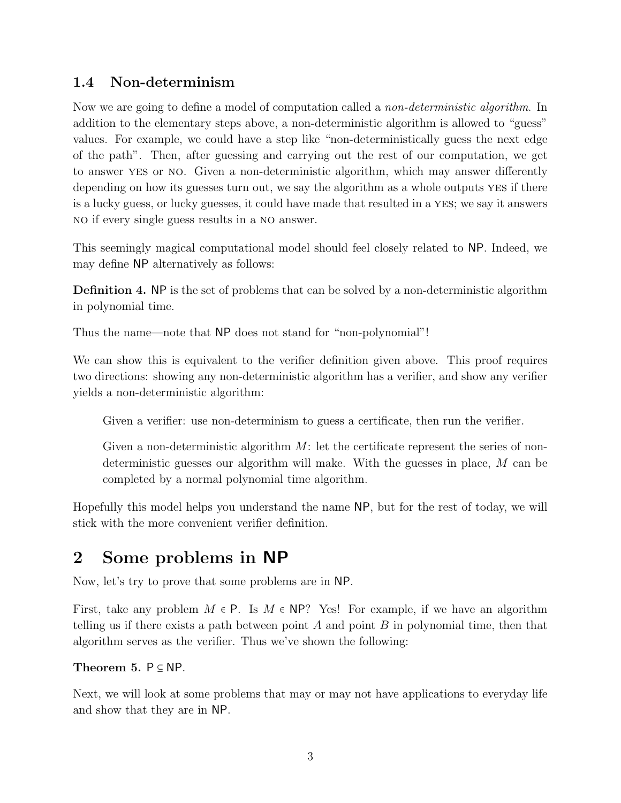## 1.4 Non-determinism

Now we are going to define a model of computation called a non-deterministic algorithm. In addition to the elementary steps above, a non-deterministic algorithm is allowed to "guess" values. For example, we could have a step like "non-deterministically guess the next edge of the path". Then, after guessing and carrying out the rest of our computation, we get to answer yes or no. Given a non-deterministic algorithm, which may answer differently depending on how its guesses turn out, we say the algorithm as a whole outputs YES if there is a lucky guess, or lucky guesses, it could have made that resulted in a yes; we say it answers no if every single guess results in a no answer.

This seemingly magical computational model should feel closely related to NP. Indeed, we may define NP alternatively as follows:

Definition 4. NP is the set of problems that can be solved by a non-deterministic algorithm in polynomial time.

Thus the name—note that NP does not stand for "non-polynomial"!

We can show this is equivalent to the verifier definition given above. This proof requires two directions: showing any non-deterministic algorithm has a verifier, and show any verifier yields a non-deterministic algorithm:

Given a verifier: use non-determinism to guess a certificate, then run the verifier.

Given a non-deterministic algorithm  $M$ : let the certificate represent the series of nondeterministic guesses our algorithm will make. With the guesses in place, M can be completed by a normal polynomial time algorithm.

Hopefully this model helps you understand the name NP, but for the rest of today, we will stick with the more convenient verifier definition.

## 2 Some problems in NP

Now, let's try to prove that some problems are in NP.

First, take any problem  $M \in \mathsf{P}$ . Is  $M \in \mathsf{NP}$ ? Yes! For example, if we have an algorithm telling us if there exists a path between point A and point  $B$  in polynomial time, then that algorithm serves as the verifier. Thus we've shown the following:

#### Theorem 5.  $P \subseteq NP$ .

Next, we will look at some problems that may or may not have applications to everyday life and show that they are in NP.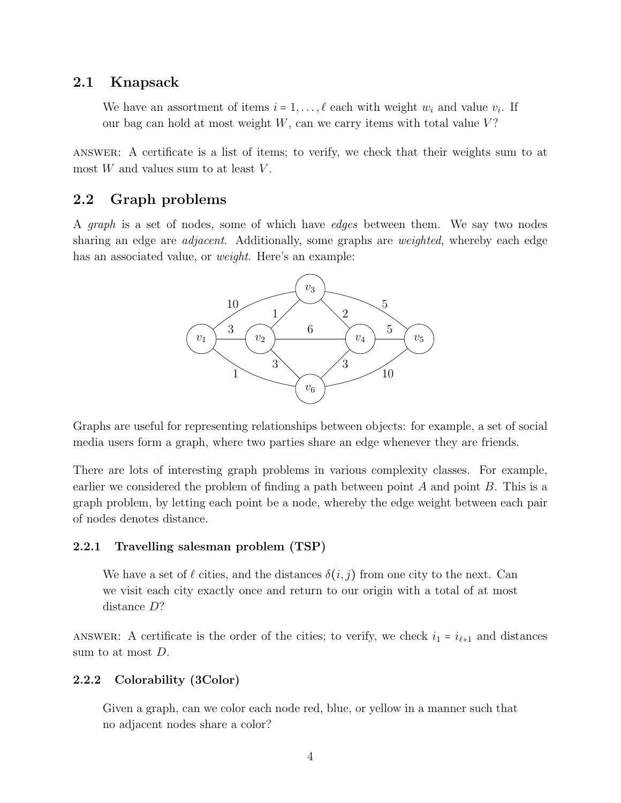#### 2.1 Knapsack

We have an assortment of items  $i = 1, \ldots, \ell$  each with weight  $w_i$  and value  $v_i$ . If our bag can hold at most weight  $W$ , can we carry items with total value  $V$ ?

answer: A certificate is a list of items; to verify, we check that their weights sum to at most  $W$  and values sum to at least  $V$ .

#### 2.2 Graph problems

A graph is a set of nodes, some of which have edges between them. We say two nodes sharing an edge are *adjacent*. Additionally, some graphs are *weighted*, whereby each edge has an associated value, or *weight*. Here's an example:



Graphs are useful for representing relationships between objects: for example, a set of social media users form a graph, where two parties share an edge whenever they are friends.

There are lots of interesting graph problems in various complexity classes. For example, earlier we considered the problem of finding a path between point A and point  $B$ . This is a graph problem, by letting each point be a node, whereby the edge weight between each pair of nodes denotes distance.

#### 2.2.1 Travelling salesman problem (TSP)

We have a set of  $\ell$  cities, and the distances  $\delta(i, j)$  from one city to the next. Can we visit each city exactly once and return to our origin with a total of at most distance D?

ANSWER: A certificate is the order of the cities; to verify, we check  $i_1 = i_{\ell+1}$  and distances sum to at most D.

#### 2.2.2 Colorability (3Color)

Given a graph, can we color each node red, blue, or yellow in a manner such that no adjacent nodes share a color?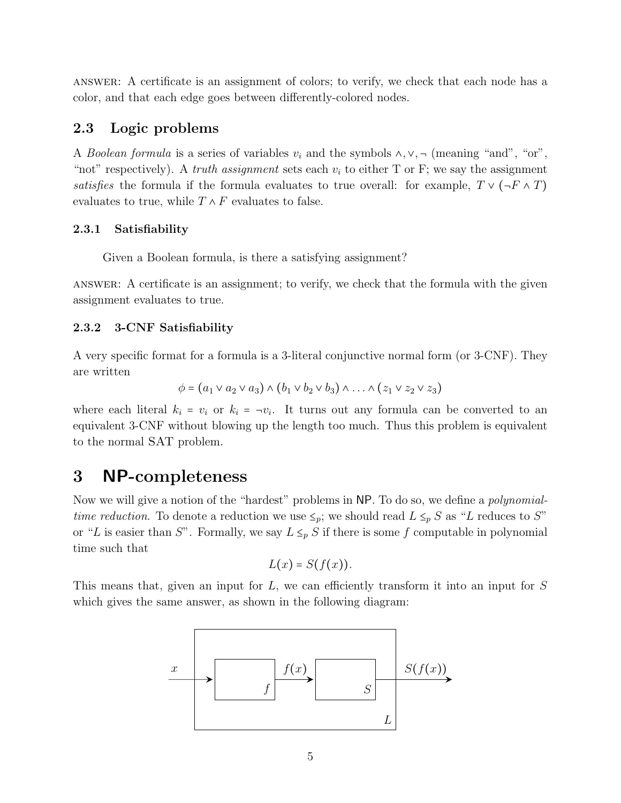answer: A certificate is an assignment of colors; to verify, we check that each node has a color, and that each edge goes between differently-colored nodes.

#### 2.3 Logic problems

A Boolean formula is a series of variables  $v_i$  and the symbols  $\wedge, \vee, \neg$  (meaning "and", "or", "not" respectively). A *truth assignment* sets each  $v_i$  to either T or F; we say the assignment satisfies the formula if the formula evaluates to true overall: for example,  $T \vee (\neg F \wedge T)$ evaluates to true, while  $T \wedge F$  evaluates to false.

#### 2.3.1 Satisfiability

Given a Boolean formula, is there a satisfying assignment?

answer: A certificate is an assignment; to verify, we check that the formula with the given assignment evaluates to true.

#### 2.3.2 3-CNF Satisfiability

A very specific format for a formula is a 3-literal conjunctive normal form (or 3-CNF). They are written

$$
\phi = (a_1 \vee a_2 \vee a_3) \wedge (b_1 \vee b_2 \vee b_3) \wedge \ldots \wedge (z_1 \vee z_2 \vee z_3)
$$

where each literal  $k_i = v_i$  or  $k_i = -v_i$ . It turns out any formula can be converted to an equivalent 3-CNF without blowing up the length too much. Thus this problem is equivalent to the normal SAT problem.

## 3 NP-completeness

Now we will give a notion of the "hardest" problems in NP. To do so, we define a polynomialtime reduction. To denote a reduction we use  $\leq_p$ ; we should read  $L \leq_p S$  as "L reduces to S" or "L is easier than S". Formally, we say  $L \leq_p S$  if there is some f computable in polynomial time such that

$$
L(x) = S(f(x)).
$$

This means that, given an input for L, we can efficiently transform it into an input for S which gives the same answer, as shown in the following diagram:

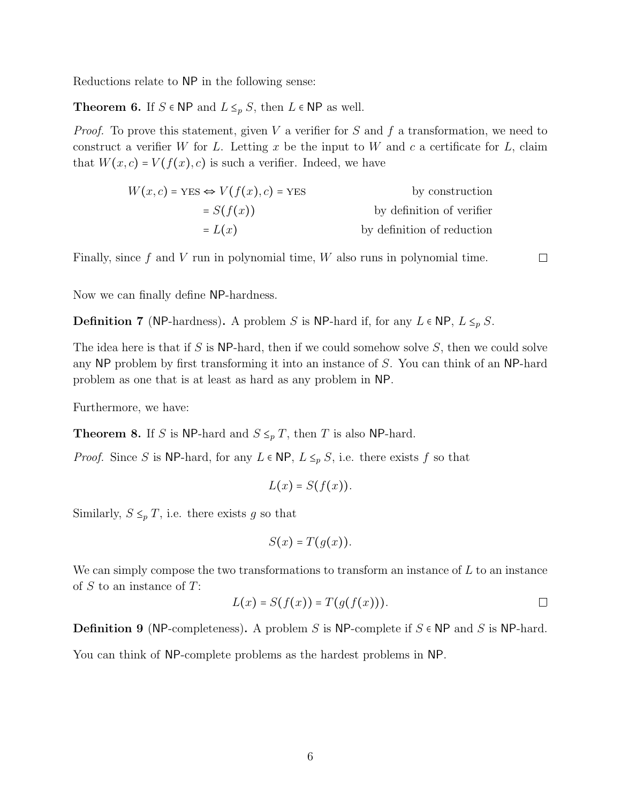Reductions relate to NP in the following sense:

**Theorem 6.** If  $S \in \mathsf{NP}$  and  $L \leq_p S$ , then  $L \in \mathsf{NP}$  as well.

*Proof.* To prove this statement, given V a verifier for S and f a transformation, we need to construct a verifier W for L. Letting x be the input to W and c a certificate for L, claim that  $W(x, c) = V(f(x), c)$  is such a verifier. Indeed, we have

$$
W(x, c) = \text{YES} \Leftrightarrow V(f(x), c) = \text{YES} \qquad \text{by construction}
$$
  
=  $S(f(x))$  by definition of verifier  
=  $L(x)$  by definition of reduction

Finally, since  $f$  and  $V$  run in polynomial time,  $W$  also runs in polynomial time.

 $\Box$ 

Now we can finally define NP-hardness.

**Definition 7** (NP-hardness). A problem S is NP-hard if, for any  $L \in \mathbb{NP}$ ,  $L \leq_{p} S$ .

The idea here is that if S is NP-hard, then if we could somehow solve S, then we could solve any NP problem by first transforming it into an instance of S. You can think of an NP-hard problem as one that is at least as hard as any problem in NP.

Furthermore, we have:

**Theorem 8.** If S is NP-hard and  $S \leq_p T$ , then T is also NP-hard.

*Proof.* Since S is NP-hard, for any  $L \in \mathsf{NP}$ ,  $L \leq_p S$ , i.e. there exists f so that

$$
L(x) = S(f(x)).
$$

Similarly,  $S \leq_p T$ , i.e. there exists g so that

$$
S(x) = T(g(x)).
$$

We can simply compose the two transformations to transform an instance of  $L$  to an instance of  $S$  to an instance of  $T$ :

$$
L(x) = S(f(x)) = T(g(f(x))). \qquad \qquad \Box
$$

**Definition 9** (NP-completeness). A problem S is NP-complete if  $S \in \mathbb{NP}$  and S is NP-hard. You can think of NP-complete problems as the hardest problems in NP.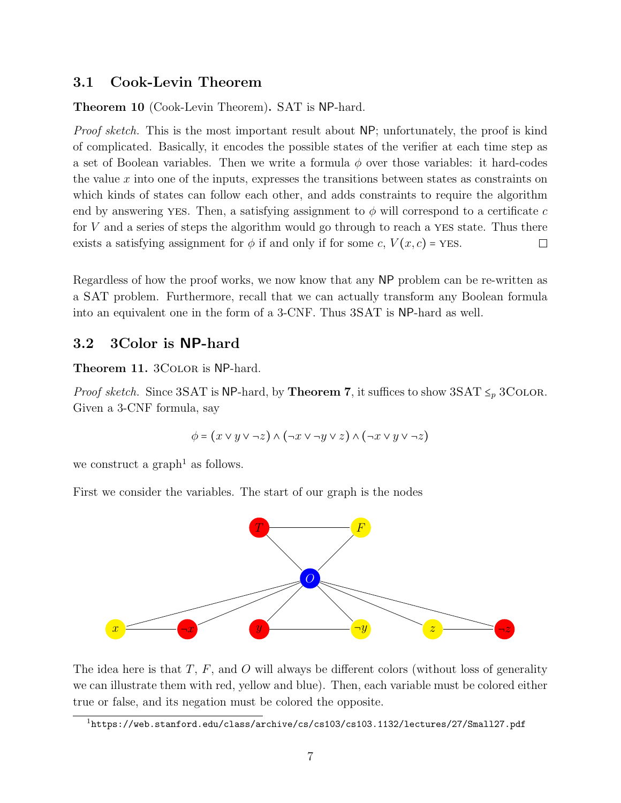#### 3.1 Cook-Levin Theorem

Theorem 10 (Cook-Levin Theorem). SAT is NP-hard.

Proof sketch. This is the most important result about NP; unfortunately, the proof is kind of complicated. Basically, it encodes the possible states of the verifier at each time step as a set of Boolean variables. Then we write a formula  $\phi$  over those variables: it hard-codes the value  $x$  into one of the inputs, expresses the transitions between states as constraints on which kinds of states can follow each other, and adds constraints to require the algorithm end by answering yes. Then, a satisfying assignment to  $\phi$  will correspond to a certificate c for V and a series of steps the algorithm would go through to reach a yes state. Thus there exists a satisfying assignment for  $\phi$  if and only if for some c,  $V(x, c)$  = YES.  $\Box$ 

Regardless of how the proof works, we now know that any NP problem can be re-written as a SAT problem. Furthermore, recall that we can actually transform any Boolean formula into an equivalent one in the form of a 3-CNF. Thus 3SAT is NP-hard as well.

#### 3.2 3Color is NP-hard

Theorem 11. 3COLOR is NP-hard.

*Proof sketch.* Since 3SAT is NP-hard, by **Theorem 7**, it suffices to show  $3SAT \leq p 3CODOR$ . Given a 3-CNF formula, say

$$
\phi = (x \lor y \lor \neg z) \land (\neg x \lor \neg y \lor z) \land (\neg x \lor y \lor \neg z)
$$

we construct a graph<sup>1</sup> as follows.

First we consider the variables. The start of our graph is the nodes



The idea here is that  $T$ ,  $F$ , and  $O$  will always be different colors (without loss of generality we can illustrate them with red, yellow and blue). Then, each variable must be colored either true or false, and its negation must be colored the opposite.

 $^{\rm l}$ https://web.stanford.edu/class/archive/cs/cs103/cs103.1132/lectures/27/Small27.pdf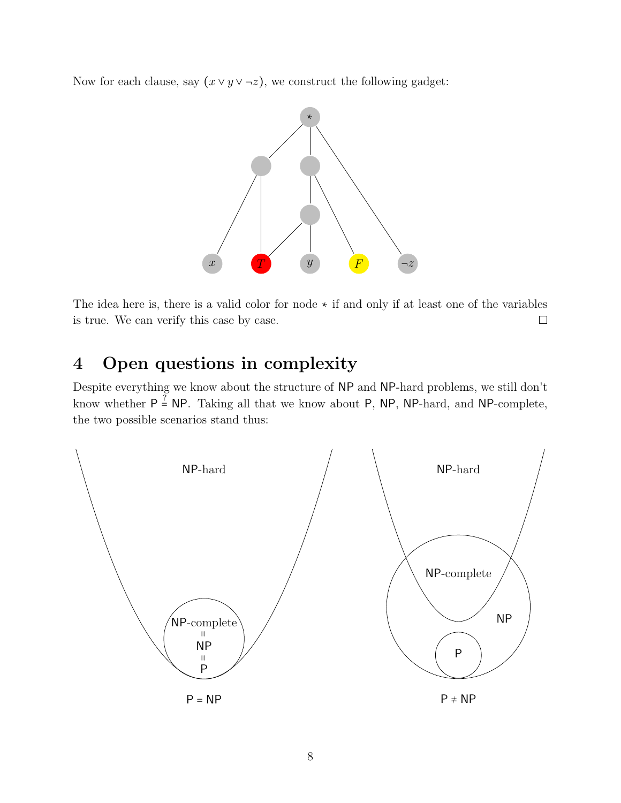Now for each clause, say  $(x \vee y \vee \neg z)$ , we construct the following gadget:



The idea here is, there is a valid color for node ∗ if and only if at least one of the variables is true. We can verify this case by case.  $\Box$ 

## 4 Open questions in complexity

Despite everything we know about the structure of NP and NP-hard problems, we still don't know whether  $P \stackrel{?}{=} NP$ . Taking all that we know about P, NP, NP-hard, and NP-complete, the two possible scenarios stand thus:

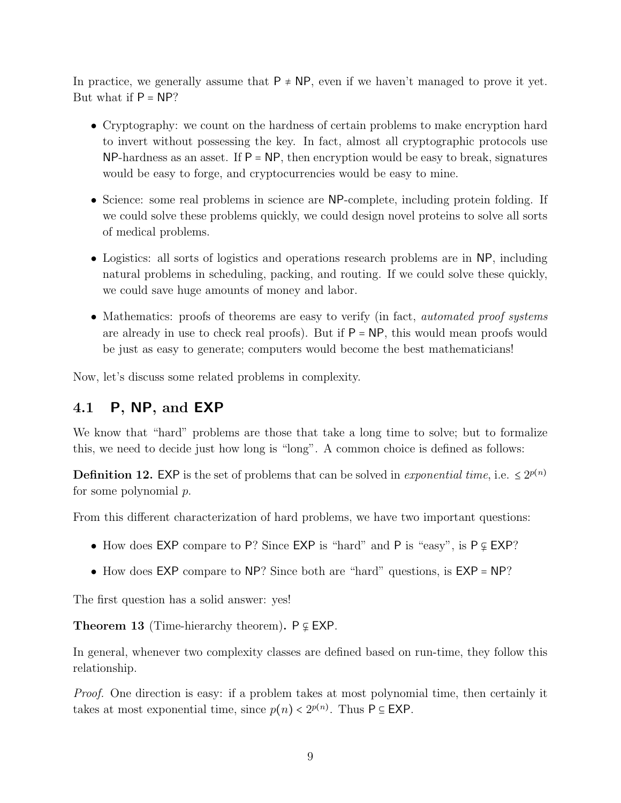In practice, we generally assume that  $P \neq NP$ , even if we haven't managed to prove it yet. But what if  $P = NP$ ?

- Cryptography: we count on the hardness of certain problems to make encryption hard to invert without possessing the key. In fact, almost all cryptographic protocols use  $NP$ -hardness as an asset. If  $P = NP$ , then encryption would be easy to break, signatures would be easy to forge, and cryptocurrencies would be easy to mine.
- Science: some real problems in science are NP-complete, including protein folding. If we could solve these problems quickly, we could design novel proteins to solve all sorts of medical problems.
- Logistics: all sorts of logistics and operations research problems are in NP, including natural problems in scheduling, packing, and routing. If we could solve these quickly, we could save huge amounts of money and labor.
- Mathematics: proofs of theorems are easy to verify (in fact, *automated proof systems* are already in use to check real proofs). But if  $P = NP$ , this would mean proofs would be just as easy to generate; computers would become the best mathematicians!

Now, let's discuss some related problems in complexity.

### 4.1 P, NP, and EXP

We know that "hard" problems are those that take a long time to solve; but to formalize this, we need to decide just how long is "long". A common choice is defined as follows:

**Definition 12.** EXP is the set of problems that can be solved in *exponential time*, i.e.  $\leq 2^{p(n)}$ for some polynomial p.

From this different characterization of hard problems, we have two important questions:

- How does EXP compare to P? Since EXP is "hard" and P is "easy", is P ⊊ EXP?
- How does EXP compare to NP? Since both are "hard" questions, is  $EXP = NP$ ?

The first question has a solid answer: yes!

Theorem 13 (Time-hierarchy theorem).  $P \subseteq EXP$ .

In general, whenever two complexity classes are defined based on run-time, they follow this relationship.

Proof. One direction is easy: if a problem takes at most polynomial time, then certainly it takes at most exponential time, since  $p(n) < 2^{p(n)}$ . Thus  $P \subseteq EXP$ .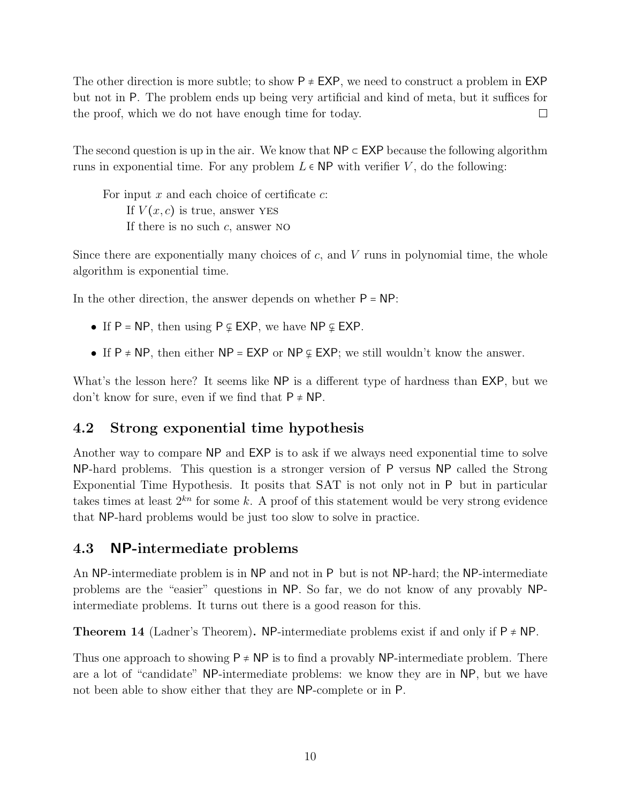The other direction is more subtle; to show  $P \neq EXP$ , we need to construct a problem in EXP but not in P. The problem ends up being very artificial and kind of meta, but it suffices for the proof, which we do not have enough time for today.  $\Box$ 

The second question is up in the air. We know that  $NP \subset EXP$  because the following algorithm runs in exponential time. For any problem  $L \in \mathsf{NP}$  with verifier V, do the following:

For input  $x$  and each choice of certificate  $c$ : If  $V(x, c)$  is true, answer YES If there is no such  $c$ , answer NO

Since there are exponentially many choices of  $c$ , and  $V$  runs in polynomial time, the whole algorithm is exponential time.

In the other direction, the answer depends on whether  $P = NP$ :

- If  $P = NP$ , then using  $P \varphi$  EXP, we have NP  $\varphi$  EXP.
- If P  $\neq$  NP, then either NP = EXP or NP  $\subseteq$  EXP; we still wouldn't know the answer.

What's the lesson here? It seems like NP is a different type of hardness than EXP, but we don't know for sure, even if we find that  $P \neq NP$ .

### 4.2 Strong exponential time hypothesis

Another way to compare NP and EXP is to ask if we always need exponential time to solve NP-hard problems. This question is a stronger version of P versus NP called the Strong Exponential Time Hypothesis. It posits that SAT is not only not in P but in particular takes times at least  $2^{kn}$  for some k. A proof of this statement would be very strong evidence that NP-hard problems would be just too slow to solve in practice.

#### 4.3 NP-intermediate problems

An NP-intermediate problem is in NP and not in P but is not NP-hard; the NP-intermediate problems are the "easier" questions in NP. So far, we do not know of any provably NPintermediate problems. It turns out there is a good reason for this.

**Theorem 14** (Ladner's Theorem). NP-intermediate problems exist if and only if  $P \neq NP$ .

Thus one approach to showing  $P \neq NP$  is to find a provably NP-intermediate problem. There are a lot of "candidate" NP-intermediate problems: we know they are in NP, but we have not been able to show either that they are NP-complete or in P.